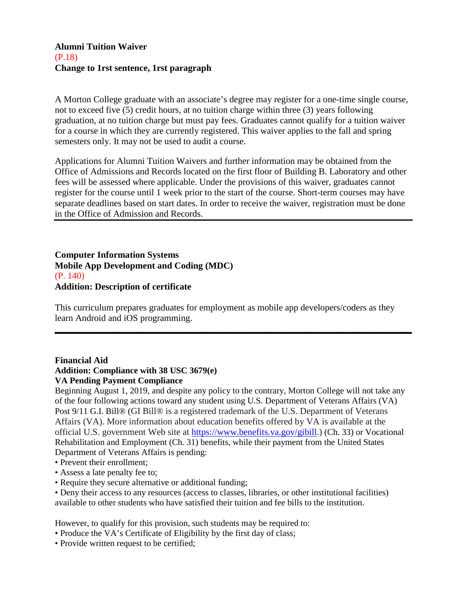## **Alumni Tuition Waiver** (P.18) **Change to 1rst sentence, 1rst paragraph**

A Morton College graduate with an associate's degree may register for a one-time single course, not to exceed five (5) credit hours, at no tuition charge within three (3) years following graduation, at no tuition charge but must pay fees. Graduates cannot qualify for a tuition waiver for a course in which they are currently registered. This waiver applies to the fall and spring semesters only. It may not be used to audit a course.

Applications for Alumni Tuition Waivers and further information may be obtained from the Office of Admissions and Records located on the first floor of Building B. Laboratory and other fees will be assessed where applicable. Under the provisions of this waiver, graduates cannot register for the course until 1 week prior to the start of the course. Short-term courses may have separate deadlines based on start dates. In order to receive the waiver, registration must be done in the Office of Admission and Records.

**Computer Information Systems Mobile App Development and Coding (MDC)** (P. 140) **Addition: Description of certificate**

This curriculum prepares graduates for employment as mobile app developers/coders as they learn Android and iOS programming.

**\_\_\_\_\_\_\_\_\_\_\_\_\_\_\_\_\_\_\_\_\_\_\_\_\_\_\_\_\_\_\_\_\_\_\_\_\_\_\_\_\_\_\_\_\_\_\_\_\_\_\_\_\_\_\_\_\_\_\_\_\_\_\_\_\_\_\_\_\_\_\_\_\_\_\_\_\_\_**

## **Financial Aid**

## **Addition: Compliance with 38 USC 3679(e) VA Pending Payment Compliance**

Beginning August 1, 2019, and despite any policy to the contrary, Morton College will not take any of the four following actions toward any student using U.S. Department of Veterans Affairs (VA)

Post 9/11 G.I. Bill® (GI Bill® is a registered trademark of the U.S. Department of Veterans Affairs (VA). More information about education benefits offered by VA is available at the official U.S. government Web site at [https://www.benefits.va.gov/gibill.](https://www.benefits.va.gov/gibill)) (Ch. 33) or Vocational Rehabilitation and Employment (Ch. 31) benefits, while their payment from the United States Department of Veterans Affairs is pending:

- Prevent their enrollment;
- Assess a late penalty fee to;
- Require they secure alternative or additional funding;
- Deny their access to any resources (access to classes, libraries, or other institutional facilities) available to other students who have satisfied their tuition and fee bills to the institution.

However, to qualify for this provision, such students may be required to:

- Produce the VA's Certificate of Eligibility by the first day of class;
- Provide written request to be certified;